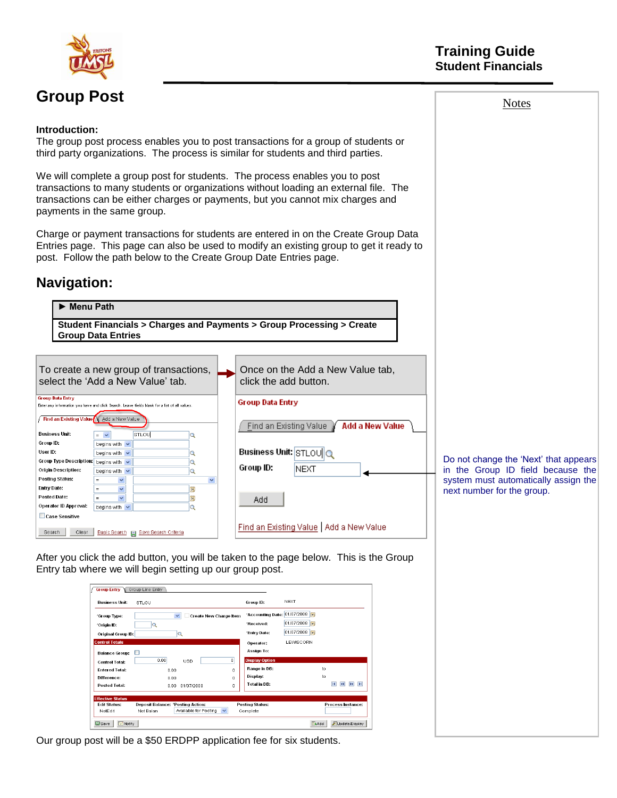

# **Group Post**

#### **Training Guide Student Financials**

**Introduction:**

The group post process enables you to post transactions for a group of students or third party organizations. The process is similar for students and third parties.

We will complete a group post for students. The process enables you to post transactions to many students or organizations without loading an external file. The transactions can be either charges or payments, but you cannot mix charges and payments in the same group.

Charge or payment transactions for students are entered in on the Create Group Data Entries page. This page can also be used to modify an existing group to get it ready to post. Follow the path below to the Create Group Date Entries page.

#### **Navigation:**

## ► **Menu Path**

**Student Financials > Charges and Payments > Group Processing > Create Group Data Entries**

|                                          |                                | To create a new group of transactions,<br>select the 'Add a New Value' tab.                   |              | click the add button.    | Once on the Add a New Value tab.         |
|------------------------------------------|--------------------------------|-----------------------------------------------------------------------------------------------|--------------|--------------------------|------------------------------------------|
| <b>Group Data Entry</b>                  |                                |                                                                                               |              | <b>Group Data Entry</b>  |                                          |
|                                          |                                | Enter any information you have and click Search. Leave fields blank for a list of all values. |              |                          |                                          |
| Find an Existing Value \ Add a New Value |                                |                                                                                               |              | Find an Existing Value V | Add a New Value                          |
| <b>Business Unit:</b>                    | $=$<br>$\checkmark$            | STLOU                                                                                         | Q            |                          |                                          |
| Group ID:                                | begins with v                  |                                                                                               |              |                          |                                          |
| User ID:                                 | begins with $\vee$             |                                                                                               | Q            | Business Unit: STLOUIO   |                                          |
| <b>Group Type Description:</b>           | begins with $\vee$             |                                                                                               | Q            |                          |                                          |
| Origin Description:                      | begins with $\sqrt{}$          |                                                                                               | Q            | Group ID:                | NEXT                                     |
| Posting Status:                          | $\checkmark$<br>$=$            |                                                                                               | $\checkmark$ |                          |                                          |
| Entry Date:                              | $\overline{\mathbf{v}}$<br>$=$ |                                                                                               | Þi           |                          |                                          |
| <b>Posted Date:</b>                      | $\checkmark$<br>$=$            |                                                                                               | 81           | Add                      |                                          |
| Operator ID Approval:                    | begins with $\sqrt{}$          |                                                                                               | Q            |                          |                                          |
| Case Sensitive                           |                                |                                                                                               |              |                          |                                          |
| Search<br>Clear                          | Basic Search                   | Save Search Criteria                                                                          |              |                          | Find an Existing Value   Add a New Value |

Do not change the "Next" that appears in the Group ID field because the system must automatically assign the next number for the group.

After you click the add button, you will be taken to the page below. This is the Group Entry tab where we will begin setting up our group post.

| <b>Group Entry</b>          | Group Line Entry                  |                                               |              |                        |                         |                                                                                  |
|-----------------------------|-----------------------------------|-----------------------------------------------|--------------|------------------------|-------------------------|----------------------------------------------------------------------------------|
| <b>Business Unit:</b>       | STLOU                             |                                               |              | Group ID:              | <b>NFXT</b>             |                                                                                  |
| 'Group Type:                |                                   | $\checkmark$<br><b>Create New Charge Item</b> |              | *Accounting Date:      | 01/07/2008<br><b>DE</b> |                                                                                  |
| *Origin ID:                 | Q                                 |                                               |              | 'Received:             | 01/07/2008 31           |                                                                                  |
| Original Group ID:          |                                   | Q                                             |              | 'Entry Date:           | 01/07/2008 31           |                                                                                  |
| <b>Control Totals</b>       |                                   |                                               |              | Operator:              | LEWISCORN               |                                                                                  |
| <b>Balance Group:</b>       |                                   |                                               |              | <b>Assign To:</b>      |                         |                                                                                  |
| <b>Control Total:</b>       | 0.00                              | USD                                           | $\Omega$     | <b>Display Option</b>  |                         |                                                                                  |
| <b>Entered Total:</b>       | 0.00                              |                                               | n.           | Range in DB:           |                         | to                                                                               |
| Difference:                 | 0.00                              |                                               | $\Omega$     | Display:               |                         | to                                                                               |
| <b>Posted Total:</b>        | n nn                              | 01/07/2008                                    | n            | <b>Total in DB:</b>    |                         | $\overline{\mathbf{a}}$<br>$\blacktriangleright$<br>$\mathbb{R}$<br>$\mathbf{H}$ |
| <b>Effective Status</b>     |                                   |                                               |              |                        |                         |                                                                                  |
| <b>Edit Status:</b>         | Deposit Balance: 'Posting Action: |                                               |              | <b>Posting Status:</b> |                         | Process Instance:                                                                |
| NotEdit                     | Not Balan                         | Available for Posting                         | $\checkmark$ | Complete               |                         |                                                                                  |
| $=$ Notify<br><b>D</b> Save |                                   |                                               |              |                        | E+Add                   | Update/Display                                                                   |

Our group post will be a \$50 ERDPP application fee for six students.

#### Notes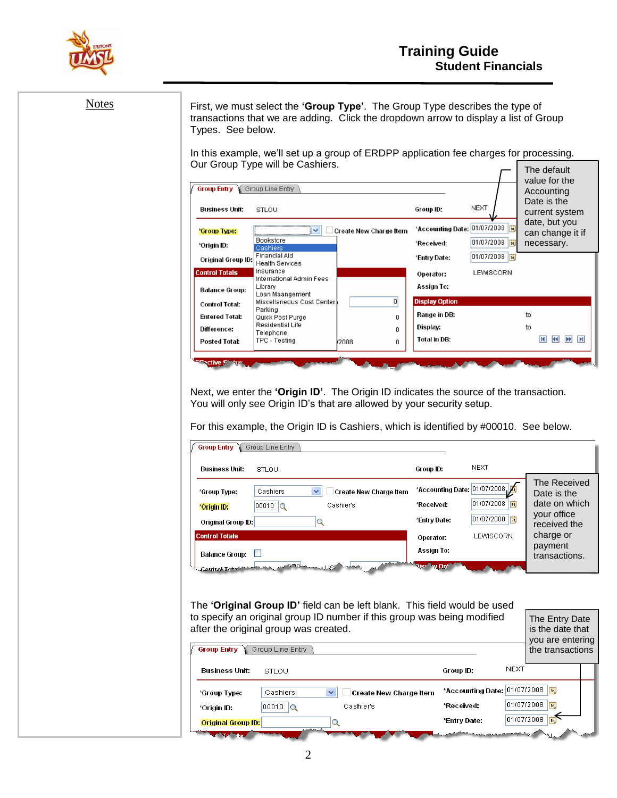

| <b>Notes</b> | Types. See below.                                                                                                  |                                                                                                                            | First, we must select the 'Group Type'. The Group Type describes the type of<br>transactions that we are adding. Click the dropdown arrow to display a list of Group                                                                                       |                                                                                                                              |                                            |                                                                                                                      |
|--------------|--------------------------------------------------------------------------------------------------------------------|----------------------------------------------------------------------------------------------------------------------------|------------------------------------------------------------------------------------------------------------------------------------------------------------------------------------------------------------------------------------------------------------|------------------------------------------------------------------------------------------------------------------------------|--------------------------------------------|----------------------------------------------------------------------------------------------------------------------|
|              |                                                                                                                    | Our Group Type will be Cashiers.                                                                                           | In this example, we'll set up a group of ERDPP application fee charges for processing.                                                                                                                                                                     |                                                                                                                              |                                            | The default                                                                                                          |
|              | <b>Group Entry</b>                                                                                                 | Group Line Entry                                                                                                           |                                                                                                                                                                                                                                                            |                                                                                                                              |                                            | value for the<br>Accounting                                                                                          |
|              | Business Unit:                                                                                                     | STLOU                                                                                                                      |                                                                                                                                                                                                                                                            | Group ID:                                                                                                                    | NEXT                                       | Date is the<br>current system                                                                                        |
|              | 'Group Type:<br>*Origin ID:<br>Original Group ID:<br><b>Control Totals</b>                                         | $\vee$<br>Bookstore<br>Cashiers<br><b>Financial Aid</b><br><b>Health Services</b><br>Insurance<br>International Admin Fees | Create New Charge Item                                                                                                                                                                                                                                     | *Accounting Date: 01/07/2008<br>'Received:<br>'Entry Date:<br>Operator:                                                      | 01/07/2008<br>01/07/2008<br>LEWISCORN      | date, but you<br>can change it if<br>necessary.                                                                      |
|              | <b>Balance Group:</b>                                                                                              | Library<br>Loan Maangement                                                                                                 | $\mathbf{0}$                                                                                                                                                                                                                                               | Assign To:<br><b>Display Option</b>                                                                                          |                                            |                                                                                                                      |
|              | <b>Control Total:</b><br><b>Entered Total:</b><br>Difference:                                                      | Miscellaneous Cost Center<br>Parking<br>Quick Post Purge<br>Residential Life<br>Telephone                                  | 0<br>0                                                                                                                                                                                                                                                     | Range in DB:<br>Display:                                                                                                     |                                            | to<br>to                                                                                                             |
|              | <b>Posted Total:</b>                                                                                               | TPC - Testing                                                                                                              | r2008<br>0                                                                                                                                                                                                                                                 | Total in DB:                                                                                                                 |                                            | <b>K</b><br><b>K</b><br><b>H</b>                                                                                     |
|              | <b>Group Entry</b>                                                                                                 | Group Line Entry                                                                                                           | Next, we enter the 'Origin ID'. The Origin ID indicates the source of the transaction.<br>You will only see Origin ID's that are allowed by your security setup.<br>For this example, the Origin ID is Cashiers, which is identified by #00010. See below. |                                                                                                                              |                                            |                                                                                                                      |
|              | <b>Business Unit:</b>                                                                                              | STLOU                                                                                                                      |                                                                                                                                                                                                                                                            | Group ID:                                                                                                                    | <b>NEXT</b>                                |                                                                                                                      |
|              | *Group Type:<br>*Origin ID:<br>Original Group ID:<br><b>Control Totals</b><br>Balance Group: D<br>Control Leterate | v<br>Cashiers<br>$00010$ $Q$<br>$ \mathsf{Q} $<br>حيان ڪري                                                                 | Create New Charge Item<br>Cashier's<br>. LIQE <sup>rik</sup> maa                                                                                                                                                                                           | *Accounting Date: 01/07/2008<br>*Received:<br>*Entry Date:<br>Operator:<br>Assign To:<br>Nisr <sup>a</sup> w On <sup>+</sup> | 01/07/2008  討<br>01/07/2008 同<br>LEWISCORN | The Received<br>Date is the<br>date on which<br>your office<br>received the<br>charge or<br>payment<br>transactions. |
|              |                                                                                                                    | after the original group was created.                                                                                      | The 'Original Group ID' field can be left blank. This field would be used<br>to specify an original group ID number if this group was being modified                                                                                                       |                                                                                                                              |                                            | The Entry Date                                                                                                       |
|              | <b>Group Entry</b>                                                                                                 | Group Line Entry                                                                                                           |                                                                                                                                                                                                                                                            |                                                                                                                              |                                            | is the date that<br>you are entering<br>the transactions                                                             |
|              | Business Unit:                                                                                                     | STLOU                                                                                                                      |                                                                                                                                                                                                                                                            | Group ID:                                                                                                                    | NEXT                                       |                                                                                                                      |
|              | *Group Type:<br>*Origin ID:<br><b>Original Group ID:</b>                                                           | Cashiers<br>$\overline{00010}$ $\overline{Q}$                                                                              | <b>Create New Charge Item</b><br>Cashier's<br>Q                                                                                                                                                                                                            | *Received:<br>*Entry Date:                                                                                                   | *Accounting Date: 01/07/2008               | 01/07/2008<br>01/07/2008   試                                                                                         |
|              | <b>Report Follows</b>                                                                                              |                                                                                                                            |                                                                                                                                                                                                                                                            |                                                                                                                              |                                            |                                                                                                                      |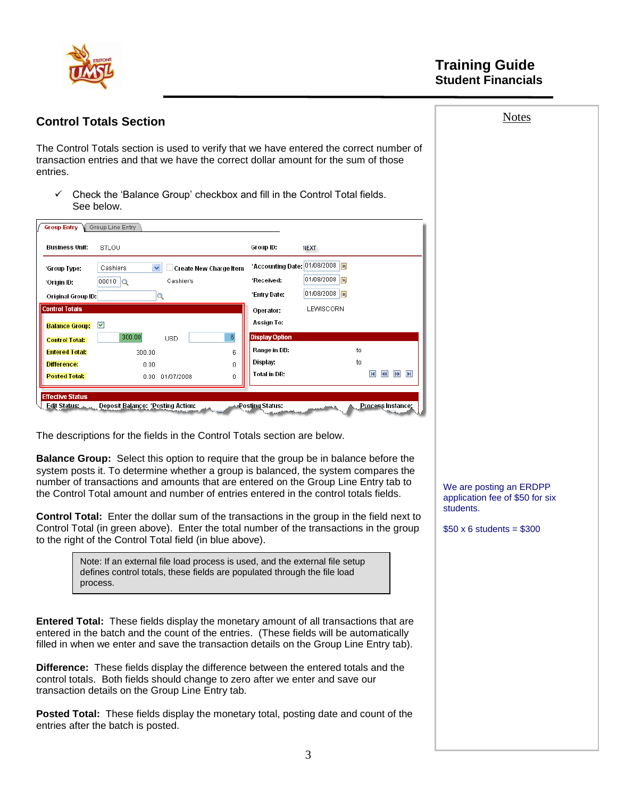

#### **Notes Control Totals Section** The Control Totals section is used to verify that we have entered the correct number of transaction entries and that we have the correct dollar amount for the sum of those entries.  $\checkmark$  Check the 'Balance Group' checkbox and fill in the Control Total fields. See below. **Group Entry Group Line Entry** Business Unit: STLOU Group ID: **NEXT** ▽ Create New Charge Item Accounting Date: 01/08/2008 <mark>3</mark> \*Group Type: Cashiers 01/08/2008 | 51  $00010$ <sup>Q</sup> Cashier's 'Received: \*Origin ID: 01/08/2008 | 51 \*Entry Date: Original Group ID: Q ontrol Totals LEWISCORN Operator: **Assign To:** Balance Group: **Display Option** 300.00  $6\phantom{.}6$ **Control Total:** USD Range in DB: to **Entered Total:** 300.00 6 Display: to Difference:  $0.00$  $\overline{0}$ **Total in DB: K K H Posted Total:** 0.00 01/07/2008 n. **Effective Status** Edit Status: Deposit Balance: 'Posting Action: Posting Status: PLocess Instance The descriptions for the fields in the Control Totals section are below. **Balance Group:** Select this option to require that the group be in balance before the system posts it. To determine whether a group is balanced, the system compares the number of transactions and amounts that are entered on the Group Line Entry tab to We are posting an ERDPP the Control Total amount and number of entries entered in the control totals fields. application fee of \$50 for six students. **Control Total:** Enter the dollar sum of the transactions in the group in the field next to Control Total (in green above). Enter the total number of the transactions in the group  $$50 \times 6$  students = \$300 to the right of the Control Total field (in blue above). Note: If an external file load process is used, and the external file setup defines control totals, these fields are populated through the file load process.

**Entered Total:** These fields display the monetary amount of all transactions that are entered in the batch and the count of the entries. (These fields will be automatically filled in when we enter and save the transaction details on the Group Line Entry tab).

**Difference:** These fields display the difference between the entered totals and the control totals. Both fields should change to zero after we enter and save our transaction details on the Group Line Entry tab.

**Posted Total:** These fields display the monetary total, posting date and count of the entries after the batch is posted.

3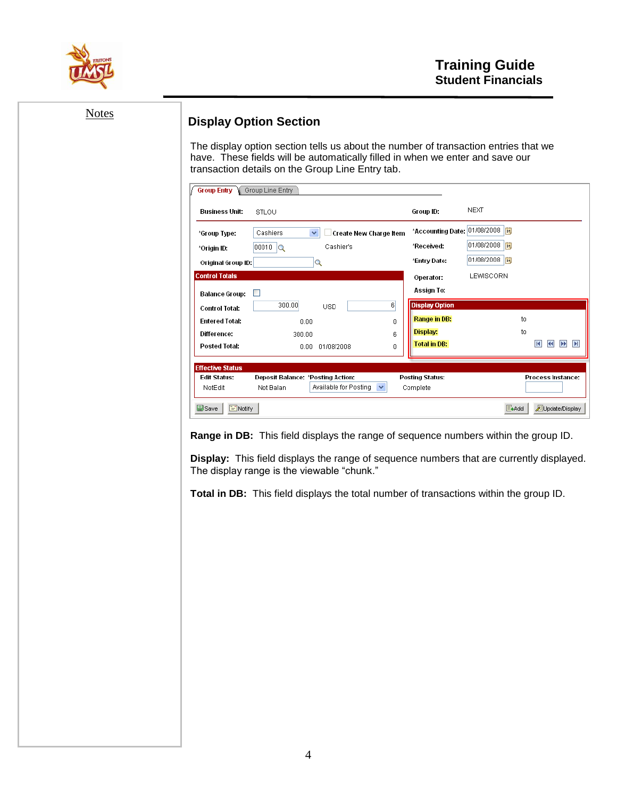

| <b>Notes</b> | <b>Display Option Section</b>                  |                                   | The display option section tells us about the number of transaction entries that we                                               |         |                                       |                                |                                                                                          |
|--------------|------------------------------------------------|-----------------------------------|-----------------------------------------------------------------------------------------------------------------------------------|---------|---------------------------------------|--------------------------------|------------------------------------------------------------------------------------------|
|              |                                                |                                   | have. These fields will be automatically filled in when we enter and save our<br>transaction details on the Group Line Entry tab. |         |                                       |                                |                                                                                          |
|              | <b>Group Entry</b>                             | Group Line Entry                  |                                                                                                                                   |         |                                       |                                |                                                                                          |
|              | Business Unit:                                 | STLOU                             |                                                                                                                                   |         | Group ID:                             | <b>NEXT</b>                    |                                                                                          |
|              | *Group Type:                                   | Cashiers                          | v<br>Create New Charge Item                                                                                                       |         |                                       | *Accounting Date: 01/08/2008 3 |                                                                                          |
|              | *Origin ID:                                    | 00010                             | Cashier's                                                                                                                         |         | *Received:<br>*Entry Date:            | 01/08/2008   司<br>01/08/2008   |                                                                                          |
|              | Original Group ID:<br><b>Control Totals</b>    |                                   | $ {\mathsf q} $                                                                                                                   |         | Operator:                             | LEWISCORN                      |                                                                                          |
|              | Balance Group:                                 |                                   |                                                                                                                                   |         | Assign To:                            |                                |                                                                                          |
|              | <b>Control Total:</b><br><b>Entered Total:</b> | 300.00<br>0.00                    | <b>USD</b>                                                                                                                        | 6 <br>0 | <b>Display Option</b><br>Range in DB: |                                | to                                                                                       |
|              | Difference:                                    | 300.00                            |                                                                                                                                   | 6       | Display:                              |                                | to                                                                                       |
|              | Posted Total:                                  |                                   | 0.00 01/08/2008                                                                                                                   | 0       | <b>Total in DB:</b>                   |                                | <b>KK DE DI</b>                                                                          |
|              | <b>Effective Status</b><br><b>Edit Status:</b> | Deposit Balance: *Posting Action: |                                                                                                                                   |         | <b>Posting Status:</b>                |                                | Process Instance:                                                                        |
|              | NotEdit                                        | Not Balan                         | Available for Posting                                                                                                             | ×       | Complete                              |                                |                                                                                          |
|              | 圖Save<br>$\equiv$ Notify                       |                                   |                                                                                                                                   |         |                                       | ELAdd                          | Update/Display                                                                           |
|              |                                                |                                   | Range in DB: This field displays the range of sequence numbers within the group ID.                                               |         |                                       |                                |                                                                                          |
|              |                                                |                                   | The display range is the viewable "chunk."                                                                                        |         |                                       |                                | Display: This field displays the range of sequence numbers that are currently displayed. |
|              |                                                |                                   |                                                                                                                                   |         |                                       |                                |                                                                                          |
|              |                                                |                                   | Total in DB: This field displays the total number of transactions within the group ID.                                            |         |                                       |                                |                                                                                          |
|              |                                                |                                   |                                                                                                                                   |         |                                       |                                |                                                                                          |
|              |                                                |                                   |                                                                                                                                   |         |                                       |                                |                                                                                          |
|              |                                                |                                   |                                                                                                                                   |         |                                       |                                |                                                                                          |
|              |                                                |                                   |                                                                                                                                   |         |                                       |                                |                                                                                          |
|              |                                                |                                   |                                                                                                                                   |         |                                       |                                |                                                                                          |
|              |                                                |                                   |                                                                                                                                   |         |                                       |                                |                                                                                          |
|              |                                                |                                   |                                                                                                                                   |         |                                       |                                |                                                                                          |
|              |                                                |                                   |                                                                                                                                   |         |                                       |                                |                                                                                          |
|              |                                                |                                   |                                                                                                                                   |         |                                       |                                |                                                                                          |
|              |                                                |                                   |                                                                                                                                   |         |                                       |                                |                                                                                          |
|              |                                                |                                   |                                                                                                                                   |         |                                       |                                |                                                                                          |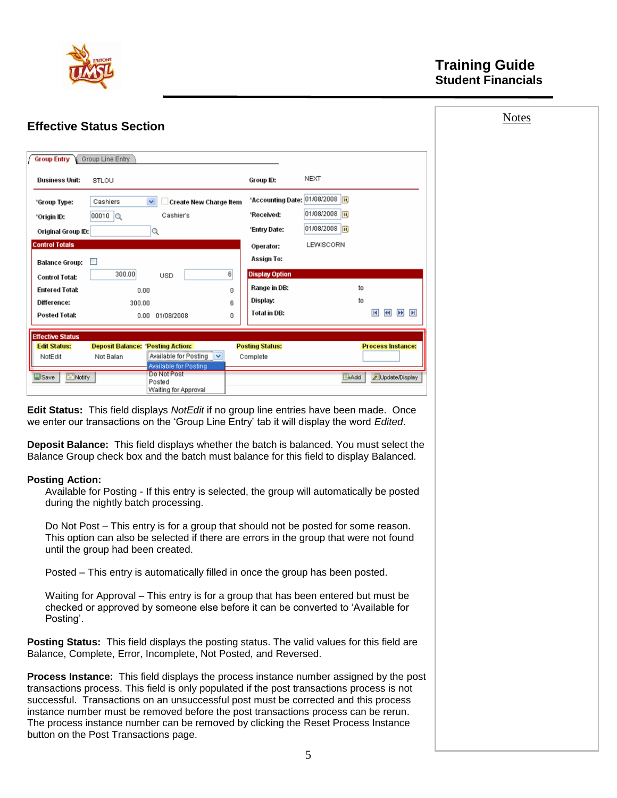

button on the Post Transactions page.

| <b>Effective Status Section</b>                                                                                                                                                                                                                                                                                                                                                                                                                        | <b>Notes</b>             |
|--------------------------------------------------------------------------------------------------------------------------------------------------------------------------------------------------------------------------------------------------------------------------------------------------------------------------------------------------------------------------------------------------------------------------------------------------------|--------------------------|
|                                                                                                                                                                                                                                                                                                                                                                                                                                                        |                          |
| <b>Group Entry</b><br>Group Line Entry                                                                                                                                                                                                                                                                                                                                                                                                                 |                          |
| Group ID:<br>Business Unit:<br>STLOU                                                                                                                                                                                                                                                                                                                                                                                                                   | NEXT                     |
| 'Accounting Date: 01/08/2008<br>Cashiers<br><b>Create New Charge Item</b><br>'Group Type:                                                                                                                                                                                                                                                                                                                                                              |                          |
| 'Received:<br>Cashier's<br>$00010$ $\alpha$<br>'Origin ID:                                                                                                                                                                                                                                                                                                                                                                                             | 01/08/2008   时           |
| 'Entry Date:<br>$ {\mathsf Q} $<br>Original Group ID:                                                                                                                                                                                                                                                                                                                                                                                                  | 01/08/2008   时           |
| <b>Control Totals</b><br>Operator:                                                                                                                                                                                                                                                                                                                                                                                                                     | LEWISCORN                |
| Assign To:<br>Balance Group:<br>□                                                                                                                                                                                                                                                                                                                                                                                                                      |                          |
| 6<br>300.00<br><b>Display Option</b><br><b>USD</b><br><b>Control Total:</b>                                                                                                                                                                                                                                                                                                                                                                            |                          |
| Range in DB:<br><b>Entered Total:</b><br>0.00<br>0                                                                                                                                                                                                                                                                                                                                                                                                     | to                       |
| Display:<br>Difference:<br>300.00<br>6                                                                                                                                                                                                                                                                                                                                                                                                                 | to                       |
| <b>Total in DB:</b><br><b>Posted Total:</b><br>0.00 01/08/2008<br>0                                                                                                                                                                                                                                                                                                                                                                                    | <b>K &amp; E</b>         |
| <b>Effective Status</b>                                                                                                                                                                                                                                                                                                                                                                                                                                |                          |
| <b>Deposit Balance: 'Posting Action:</b><br><b>Posting Status:</b><br><b>Edit Status:</b>                                                                                                                                                                                                                                                                                                                                                              | <b>Process Instance:</b> |
| Available for Posting $\vert \mathbf{v} \vert$<br>NotEdit<br>Not Balan<br>Complete<br>Available for Posting                                                                                                                                                                                                                                                                                                                                            |                          |
| Do Not Post<br><b>B</b> Save<br>$\Box$ Notify                                                                                                                                                                                                                                                                                                                                                                                                          | Update/Display<br>≣+Add  |
| Posted<br>Waiting for Approval                                                                                                                                                                                                                                                                                                                                                                                                                         |                          |
| we enter our transactions on the 'Group Line Entry' tab it will display the word Edited.<br><b>Deposit Balance:</b> This field displays whether the batch is balanced. You must select the<br>Balance Group check box and the batch must balance for this field to display Balanced.<br><b>Posting Action:</b><br>Available for Posting - If this entry is selected, the group will automatically be posted                                            |                          |
| during the nightly batch processing.                                                                                                                                                                                                                                                                                                                                                                                                                   |                          |
| Do Not Post – This entry is for a group that should not be posted for some reason.<br>This option can also be selected if there are errors in the group that were not found<br>until the group had been created.                                                                                                                                                                                                                                       |                          |
| Posted - This entry is automatically filled in once the group has been posted.                                                                                                                                                                                                                                                                                                                                                                         |                          |
| Waiting for Approval - This entry is for a group that has been entered but must be<br>checked or approved by someone else before it can be converted to 'Available for<br>Posting'.                                                                                                                                                                                                                                                                    |                          |
| Posting Status: This field displays the posting status. The valid values for this field are<br>Balance, Complete, Error, Incomplete, Not Posted, and Reversed.                                                                                                                                                                                                                                                                                         |                          |
| Process Instance: This field displays the process instance number assigned by the post<br>transactions process. This field is only populated if the post transactions process is not<br>successful. Transactions on an unsuccessful post must be corrected and this process<br>instance number must be removed before the post transactions process can be rerun.<br>The process instance number can be removed by clicking the Reset Process Instance |                          |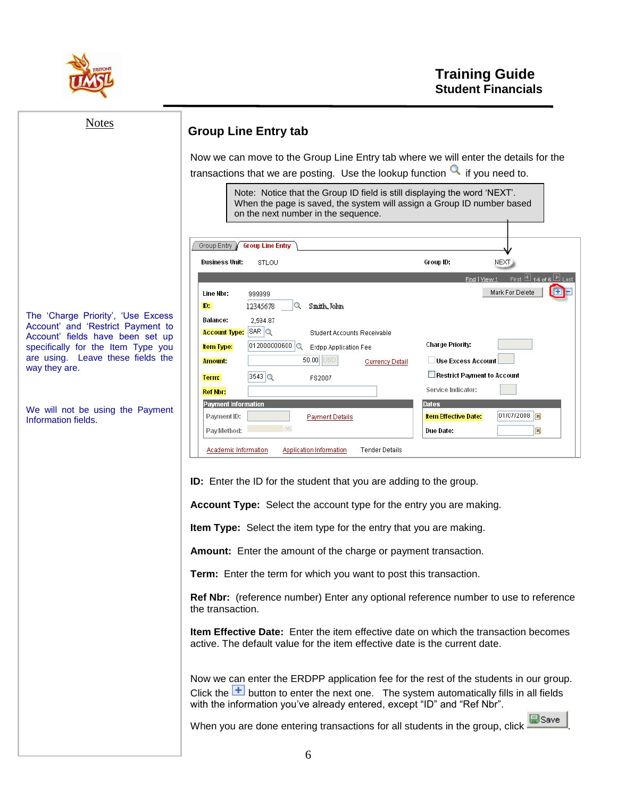

| <b>Notes</b>                                                                                                                                                      | <b>Group Line Entry tab</b>                                                                                                                                                                                                                                                                            |                                                                            |
|-------------------------------------------------------------------------------------------------------------------------------------------------------------------|--------------------------------------------------------------------------------------------------------------------------------------------------------------------------------------------------------------------------------------------------------------------------------------------------------|----------------------------------------------------------------------------|
|                                                                                                                                                                   | Now we can move to the Group Line Entry tab where we will enter the details for the<br>transactions that we are posting. Use the lookup function $\mathbb Q$ if you need to.                                                                                                                           |                                                                            |
|                                                                                                                                                                   | Note: Notice that the Group ID field is still displaying the word 'NEXT'.<br>When the page is saved, the system will assign a Group ID number based<br>on the next number in the sequence.                                                                                                             |                                                                            |
|                                                                                                                                                                   | Group Entry<br><b>Group Line Entry</b>                                                                                                                                                                                                                                                                 |                                                                            |
|                                                                                                                                                                   | <b>Business Unit:</b><br>STLOU                                                                                                                                                                                                                                                                         | Group ID:<br>NEXT                                                          |
| The 'Charge Priority', 'Use Excess                                                                                                                                | Line Nbr:<br>999999<br>ID:<br>Q<br>12345678<br>Smith, John<br>Balance:<br>2,594.87                                                                                                                                                                                                                     | Find   View 1 First ⊡ 1-6 of 6 ⊡ Last<br>$\blacksquare$<br>Mark For Delete |
| Account' and 'Restrict Payment to<br>Account' fields have been set up<br>specifically for the Item Type you<br>are using. Leave these fields the<br>way they are. | $SAR$ $\alpha$<br><b>Account Type:</b><br>Student Accounts Receivable<br>012000000600 Q<br><b>item Type:</b><br><b>Erdpp Application Fee</b><br>50.00 USD<br><b>Amount:</b><br><b>Currency Detail</b>                                                                                                  | <b>Charge Priority:</b><br>Use Excess Account                              |
|                                                                                                                                                                   | $3543$ $\alpha$<br>Term:<br>FS2007<br><b>Ref Nbr:</b>                                                                                                                                                                                                                                                  | Restrict Payment to Account<br>Service Indicator:                          |
|                                                                                                                                                                   | <b>Payment Information</b>                                                                                                                                                                                                                                                                             | <b>Dates</b>                                                               |
| We will not be using the Payment<br>Information fields.                                                                                                           | Payment ID:<br><b>Payment Details</b>                                                                                                                                                                                                                                                                  | 01/07/2008        <br><b>Item Effective Date:</b>                          |
|                                                                                                                                                                   | Pay Method:<br>Academic Information<br>Application Information<br><b>Tender Details</b>                                                                                                                                                                                                                | BŲ<br>Due Date:                                                            |
|                                                                                                                                                                   | <b>ID:</b> Enter the ID for the student that you are adding to the group.<br>Account Type: Select the account type for the entry you are making.<br><b>Item Type:</b> Select the item type for the entry that you are making.<br><b>Amount:</b> Enter the amount of the charge or payment transaction. |                                                                            |
|                                                                                                                                                                   | Term: Enter the term for which you want to post this transaction.                                                                                                                                                                                                                                      |                                                                            |
|                                                                                                                                                                   | Ref Nbr: (reference number) Enter any optional reference number to use to reference<br>the transaction.                                                                                                                                                                                                |                                                                            |
|                                                                                                                                                                   | <b>Item Effective Date:</b> Enter the item effective date on which the transaction becomes<br>active. The default value for the item effective date is the current date.                                                                                                                               |                                                                            |
|                                                                                                                                                                   | Now we can enter the ERDPP application fee for the rest of the students in our group.<br>Click the $\overline{+}$ button to enter the next one. The system automatically fills in all fields<br>with the information you've already entered, except "ID" and "Ref Nbr".                                |                                                                            |
|                                                                                                                                                                   | When you are done entering transactions for all students in the group, click                                                                                                                                                                                                                           | 틦Save                                                                      |
|                                                                                                                                                                   |                                                                                                                                                                                                                                                                                                        |                                                                            |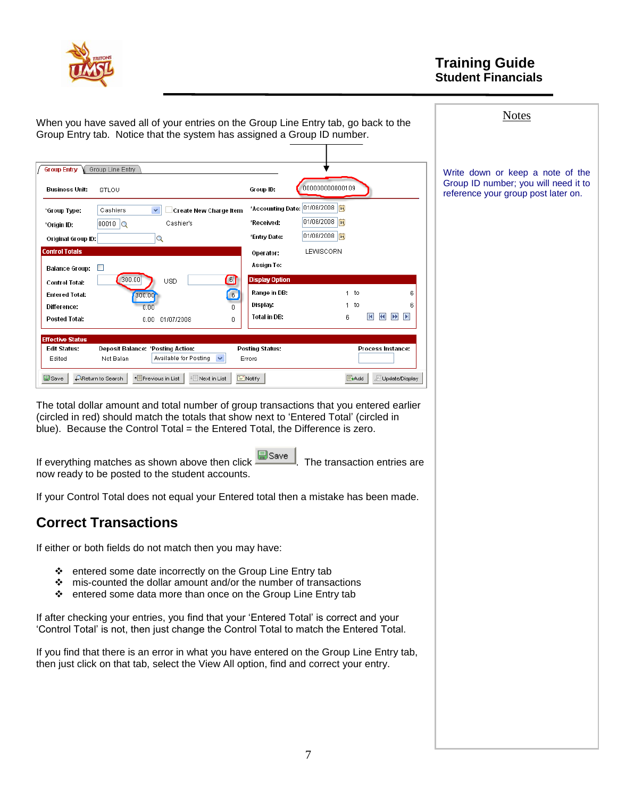

| When you have saved all of your entries on the Group Line Entry tab, go back to the                                                                                                                                                                                | <b>Notes</b>                                                                |
|--------------------------------------------------------------------------------------------------------------------------------------------------------------------------------------------------------------------------------------------------------------------|-----------------------------------------------------------------------------|
| Group Entry tab. Notice that the system has assigned a Group ID number.                                                                                                                                                                                            |                                                                             |
|                                                                                                                                                                                                                                                                    |                                                                             |
| <b>Group Entry</b><br>Group Line Entry                                                                                                                                                                                                                             | Write down or keep a note of the                                            |
| 000000000000109<br>Business Unit:<br>Group ID:<br>STLOU                                                                                                                                                                                                            | Group ID number; you will need it to<br>reference your group post later on. |
| *Accounting Date: 01/08/2008<br>Cashiers<br>□ Create New Charge Item<br>*Group Type:                                                                                                                                                                               |                                                                             |
| 01/08/2008   $\frac{1}{31}$<br>*Received:<br>$00010$ $\alpha$<br>Cashier's<br>*Origin ID:                                                                                                                                                                          |                                                                             |
| 01/08/2008   3<br>*Entry Date:<br>Q<br>Original Group ID:                                                                                                                                                                                                          |                                                                             |
| <b>Control Totals</b><br>LEWISCORN<br>Operator:                                                                                                                                                                                                                    |                                                                             |
| Assign To:<br>$\overline{\phantom{a}}$<br>Balance Group:                                                                                                                                                                                                           |                                                                             |
| $\blacksquare$<br>300.00<br><b>Display Option</b><br><b>USD</b><br><b>Control Total:</b>                                                                                                                                                                           |                                                                             |
| Range in DB:<br>$1$ to<br>6<br>Entered Total:<br>300.00                                                                                                                                                                                                            |                                                                             |
| Display:<br>1 <sub>to</sub><br>Difference:<br>0.00<br>0                                                                                                                                                                                                            |                                                                             |
| $ {\bf H} $<br>$\left  \left  \left  \mathbf{H} \right  \right  \right $<br><b>IPP</b><br>Total in DB:<br>$\mathbb{H}$<br>6<br><b>Posted Total:</b><br>0.00 01/07/2008<br>0                                                                                        |                                                                             |
|                                                                                                                                                                                                                                                                    |                                                                             |
| <b>Effective Status</b><br><b>Edit Status:</b><br>Deposit Balance: *Posting Action:<br><b>Posting Status:</b><br>Process Instance:                                                                                                                                 |                                                                             |
| Available for Posting<br>Edited<br>Not Balan<br>Errors                                                                                                                                                                                                             |                                                                             |
| <b>AReturn to Search</b><br>↑ Previous in List<br>$\Box$ Notify<br>Update/Display<br>圖Save<br>+ El Next in List<br><b>E</b> nAdd                                                                                                                                   |                                                                             |
|                                                                                                                                                                                                                                                                    |                                                                             |
| The total dollar amount and total number of group transactions that you entered earlier<br>(circled in red) should match the totals that show next to 'Entered Total' (circled in<br>blue). Because the Control Total = the Entered Total, the Difference is zero. |                                                                             |
|                                                                                                                                                                                                                                                                    |                                                                             |
| 圖Save<br>If everything matches as shown above then click -<br>I. The transaction entries are<br>now ready to be posted to the student accounts.                                                                                                                    |                                                                             |
| If your Control Total does not equal your Entered total then a mistake has been made.                                                                                                                                                                              |                                                                             |
| <b>Correct Transactions</b>                                                                                                                                                                                                                                        |                                                                             |
| If either or both fields do not match then you may have:                                                                                                                                                                                                           |                                                                             |
| entered some date incorrectly on the Group Line Entry tab<br>❖<br>mis-counted the dollar amount and/or the number of transactions<br>❖<br>entered some data more than once on the Group Line Entry tab<br>❖                                                        |                                                                             |
| If after checking your entries, you find that your 'Entered Total' is correct and your<br>'Control Total' is not, then just change the Control Total to match the Entered Total.                                                                                   |                                                                             |
| If you find that there is an error in what you have entered on the Group Line Entry tab,<br>then just click on that tab, select the View All option, find and correct your entry.                                                                                  |                                                                             |
|                                                                                                                                                                                                                                                                    |                                                                             |
|                                                                                                                                                                                                                                                                    |                                                                             |
|                                                                                                                                                                                                                                                                    |                                                                             |
|                                                                                                                                                                                                                                                                    |                                                                             |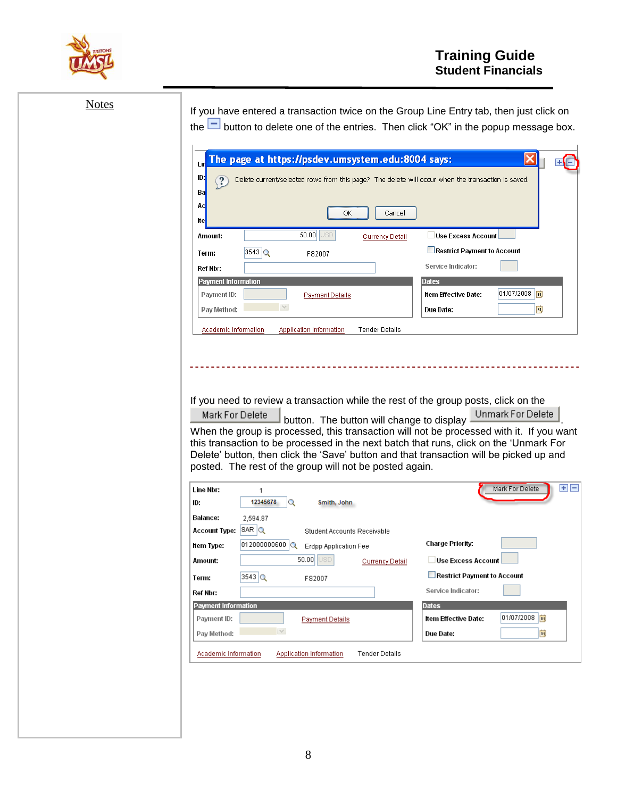

| <b>Notes</b> | Lii<br>ID:<br>Ba<br>Ac<br>lte |                                      | ОК                          | The page at https://psdev.umsystem.edu:8004 says:<br>Cancel                                            | Delete current/selected rows from this page? The delete will occur when the transaction is saved. | If you have entered a transaction twice on the Group Line Entry tab, then just click on<br>the $\Box$ button to delete one of the entries. Then click "OK" in the popup message box.                                                                                                               |
|--------------|-------------------------------|--------------------------------------|-----------------------------|--------------------------------------------------------------------------------------------------------|---------------------------------------------------------------------------------------------------|----------------------------------------------------------------------------------------------------------------------------------------------------------------------------------------------------------------------------------------------------------------------------------------------------|
|              | Amount:                       |                                      | 50.00                       | <b>Currency Detail</b>                                                                                 | Use Excess Account                                                                                |                                                                                                                                                                                                                                                                                                    |
|              | Term:                         | $3543$ $\alpha$                      | FS2007                      |                                                                                                        | Restrict Payment to Account                                                                       |                                                                                                                                                                                                                                                                                                    |
|              | Ref Nbr:                      |                                      |                             |                                                                                                        | Service Indicator:                                                                                |                                                                                                                                                                                                                                                                                                    |
|              | Payment Information           |                                      |                             |                                                                                                        | <b>Dates</b>                                                                                      |                                                                                                                                                                                                                                                                                                    |
|              | Payment ID:                   |                                      | <b>Payment Details</b>      |                                                                                                        | Item Effective Date:                                                                              | 01/07/2008   討                                                                                                                                                                                                                                                                                     |
|              | Pay Method:                   |                                      |                             |                                                                                                        | Due Date:                                                                                         | h                                                                                                                                                                                                                                                                                                  |
|              | Academic Information          |                                      | Application Information     | <b>Tender Details</b>                                                                                  |                                                                                                   |                                                                                                                                                                                                                                                                                                    |
|              | Mark For Delete               |                                      |                             | button. The button will change to display -<br>posted. The rest of the group will not be posted again. | If you need to review a transaction while the rest of the group posts, click on the               | Unmark For Delete<br>When the group is processed, this transaction will not be processed with it. If you want<br>this transaction to be processed in the next batch that runs, click on the 'Unmark For<br>Delete' button, then click the 'Save' button and that transaction will be picked up and |
|              | Line Nbr:                     | $\mathbf{1}$                         |                             |                                                                                                        |                                                                                                   | Ð E<br>Mark For Delete                                                                                                                                                                                                                                                                             |
|              | ID:                           | 12345678<br>Q                        | Smith, John                 |                                                                                                        |                                                                                                   |                                                                                                                                                                                                                                                                                                    |
|              | Balance:                      | 2,594.87                             |                             |                                                                                                        |                                                                                                   |                                                                                                                                                                                                                                                                                                    |
|              | Account Type: SAR Q           |                                      | Student Accounts Receivable |                                                                                                        |                                                                                                   |                                                                                                                                                                                                                                                                                                    |
|              | item Type:                    | 012000000600 Q Erdpp Application Fee |                             |                                                                                                        | Charge Priority:                                                                                  |                                                                                                                                                                                                                                                                                                    |
|              | Amount:                       |                                      | 50.00 USD                   | <b>Currency Detail</b>                                                                                 | Use Excess Account                                                                                |                                                                                                                                                                                                                                                                                                    |
|              | Term:                         | $3543$ <sup>Q</sup>                  | FS2007                      |                                                                                                        | Restrict Payment to Account                                                                       |                                                                                                                                                                                                                                                                                                    |
|              | Ref Nbr:                      |                                      |                             |                                                                                                        | Service Indicator:                                                                                |                                                                                                                                                                                                                                                                                                    |
|              | <b>Payment Information</b>    |                                      |                             |                                                                                                        | Dates                                                                                             | 01/07/2008   討                                                                                                                                                                                                                                                                                     |
|              | Payment ID:                   | $\vee$                               | <b>Payment Details</b>      |                                                                                                        | Item Effective Date:                                                                              |                                                                                                                                                                                                                                                                                                    |
|              | Pay Method:                   |                                      |                             |                                                                                                        | Due Date:                                                                                         | E                                                                                                                                                                                                                                                                                                  |
|              | Academic Information          |                                      | Application Information     | <b>Tender Details</b>                                                                                  |                                                                                                   |                                                                                                                                                                                                                                                                                                    |
|              |                               |                                      |                             |                                                                                                        |                                                                                                   |                                                                                                                                                                                                                                                                                                    |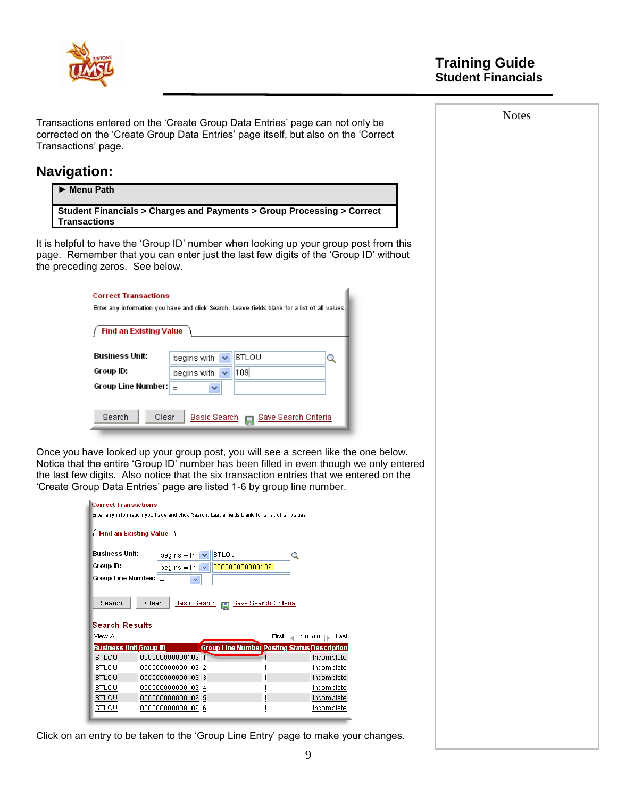

Transactions" page.

Notes

**Navigation:** ► **Menu Path Student Financials > Charges and Payments > Group Processing > Correct Transactions** It is helpful to have the "Group ID" number when looking up your group post from this page. Remember that you can enter just the last few digits of the "Group ID" without the preceding zeros. See below. **Correct Transactions** Enter any information you have and click Search. Leave fields blank for a list of all values Find an Existing Value Business Unit: begins with  $\vert \mathbf{v} \vert$ **STLOU** Q Group ID: begins with  $\sqrt{\phantom{a}}$ 109 Group Line Number:  $\boxed{\phantom{a}}$ × Search Clear Basic Search | Save Search Criteria Once you have looked up your group post, you will see a screen like the one below. Notice that the entire "Group ID" number has been filled in even though we only entered the last few digits. Also notice that the six transaction entries that we entered on the "Create Group Data Entries" page are listed 1-6 by group line number. **Correct Transactions** Enter any information you have and olick Search. Leave fields blank for a list of all values. Find an Existing Value **Business Unit:** begins with v STLOU Q Group ID: begins with  $| \vee | 000000000000109$ Group Line Number:  $\frac{1}{3}$  $\checkmark$ **Olear** Basic Search **E** Save Search Criteria Search  $\vert$ **Search Results** View All First  $\boxed{4}$  1-6 of 6  $\boxed{5}$  Last **Business Unit Group ID** osting Status Description **Group Line Num STLOU** 000000000000109 1 Incomplete STLOU 000000000000109 2 Incomplete **STLOU** 000000000000109 3 Incomplete **STLOU** 000000000000109 4 Incomplete J. STLOU 000000000000109 5 Incomplete STLOU 000000000000109 6 Ţ Incomplete Click on an entry to be taken to the "Group Line Entry" page to make your changes. 9

Transactions entered on the "Create Group Data Entries" page can not only be corrected on the "Create Group Data Entries" page itself, but also on the "Correct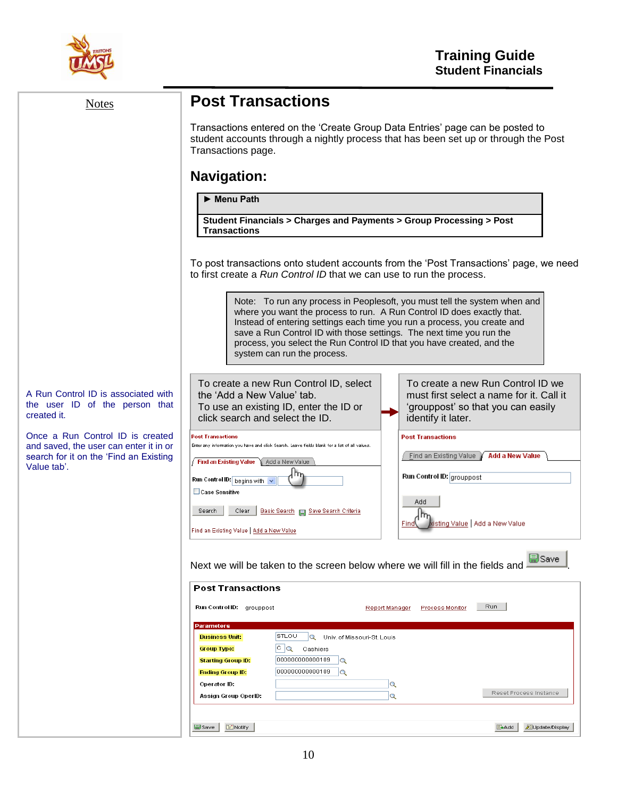

| <b>Notes</b>                                                                         | <b>Post Transactions</b>                                                                                                                                                                                                                                                                                                                                                                                        |
|--------------------------------------------------------------------------------------|-----------------------------------------------------------------------------------------------------------------------------------------------------------------------------------------------------------------------------------------------------------------------------------------------------------------------------------------------------------------------------------------------------------------|
|                                                                                      | Transactions entered on the 'Create Group Data Entries' page can be posted to<br>student accounts through a nightly process that has been set up or through the Post<br>Transactions page.                                                                                                                                                                                                                      |
|                                                                                      | <b>Navigation:</b>                                                                                                                                                                                                                                                                                                                                                                                              |
|                                                                                      | Menu Path                                                                                                                                                                                                                                                                                                                                                                                                       |
|                                                                                      | Student Financials > Charges and Payments > Group Processing > Post<br><b>Transactions</b>                                                                                                                                                                                                                                                                                                                      |
|                                                                                      | To post transactions onto student accounts from the 'Post Transactions' page, we need<br>to first create a Run Control ID that we can use to run the process.                                                                                                                                                                                                                                                   |
|                                                                                      | Note: To run any process in Peoplesoft, you must tell the system when and<br>where you want the process to run. A Run Control ID does exactly that.<br>Instead of entering settings each time you run a process, you create and<br>save a Run Control ID with those settings. The next time you run the<br>process, you select the Run Control ID that you have created, and the<br>system can run the process. |
| A Run Control ID is associated with<br>the user ID of the person that<br>created it. | To create a new Run Control ID we<br>To create a new Run Control ID, select<br>the 'Add a New Value' tab.<br>must first select a name for it. Call it<br>To use an existing ID, enter the ID or<br>'grouppost' so that you can easily<br>click search and select the ID.<br>identify it later.                                                                                                                  |
| Once a Run Control ID is created<br>and saved, the user can enter it in or           | <b>Post Transactions</b><br><b>Post Transactions</b><br>Enter any information you have and click Search. Leave fields blank for a list of all values                                                                                                                                                                                                                                                            |
| search for it on the 'Find an Existing<br>Value tab'.                                | <b>Add a New Value</b><br><b>Find an Existing Value</b><br>Find an Existing Value<br>Add a New Value                                                                                                                                                                                                                                                                                                            |
|                                                                                      | Run Control ID: grouppost<br>Run Control ID: begins with v<br>Case Sensitive                                                                                                                                                                                                                                                                                                                                    |
|                                                                                      | Add<br>Search<br>Clear<br>Basic Search <b>El Save Search Criteria</b><br>dsting Value ∫ Add a New Value<br>Find<br>Find an Existing Value   Add a New Value                                                                                                                                                                                                                                                     |
|                                                                                      | 副Save<br>Next we will be taken to the screen below where we will fill in the fields and                                                                                                                                                                                                                                                                                                                         |
|                                                                                      | <b>Post Transactions</b>                                                                                                                                                                                                                                                                                                                                                                                        |
|                                                                                      | Run<br>Run Control ID: grouppost<br>Process Monitor<br>Report Manager                                                                                                                                                                                                                                                                                                                                           |
|                                                                                      | <b>Parameters</b><br><b>STLOU</b><br>Q Univ. of Missouri-St. Louis<br><b>Business Unit:</b><br>$ c _{\mathbf{Q}}$<br><b>Group Type:</b><br>Cashiers<br>000000000000109<br><b>Starting Group ID:</b><br>$\overline{\mathbf{Q}}$                                                                                                                                                                                  |
|                                                                                      | 000000000000109<br>$\overline{Q}$<br><b>Ending Group ID:</b><br>Operator ID:<br>$\alpha$<br>Reset Process Instance<br>$\mathbf Q$<br>Assign Group OperID:                                                                                                                                                                                                                                                       |
|                                                                                      | $\mathbf{F}$ Notify<br>Update/Display<br>■Save<br>E+Add                                                                                                                                                                                                                                                                                                                                                         |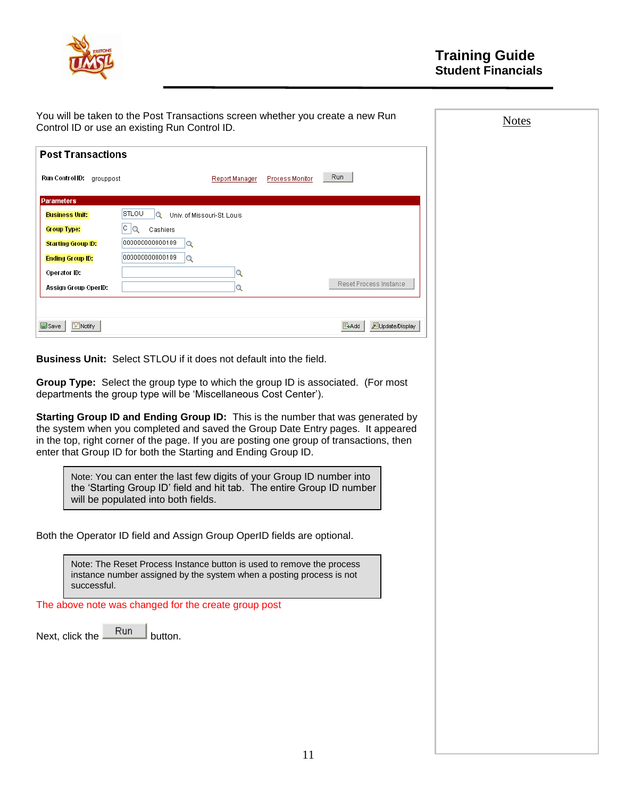

| Control ID or use an existing Run Control ID.        | You will be taken to the Post Transactions screen whether you create a new Run                                                                                     |                         | <b>Notes</b> |
|------------------------------------------------------|--------------------------------------------------------------------------------------------------------------------------------------------------------------------|-------------------------|--------------|
| <b>Post Transactions</b>                             |                                                                                                                                                                    |                         |              |
| Run Control ID: grouppost                            | Report Manager                                                                                                                                                     | Run<br>Process Monitor  |              |
| <b>Parameters</b>                                    |                                                                                                                                                                    |                         |              |
| STLOU<br><b>Business Unit:</b>                       | Q Univ. of Missouri-St. Louis                                                                                                                                      |                         |              |
| $ c _{\mathbf{Q}}$<br><b>Group Type:</b>             | Cashiers                                                                                                                                                           |                         |              |
| 000000000000109<br><b>Starting Group ID:</b>         |                                                                                                                                                                    |                         |              |
| 000000000000109<br><b>Ending Group ID:</b>           | <b>Q</b>                                                                                                                                                           |                         |              |
| Operator ID:                                         | Q                                                                                                                                                                  |                         |              |
| Assign Group OperID:                                 | Q                                                                                                                                                                  | Reset Process Instance  |              |
|                                                      |                                                                                                                                                                    |                         |              |
| 圖Save<br>$\equiv$ Notify                             |                                                                                                                                                                    | E-Add<br>Update/Display |              |
|                                                      | <b>Business Unit:</b> Select STLOU if it does not default into the field.                                                                                          |                         |              |
|                                                      | <b>Group Type:</b> Select the group type to which the group ID is associated. (For most<br>departments the group type will be 'Miscellaneous Cost Center').        |                         |              |
|                                                      | Starting Group ID and Ending Group ID: This is the number that was generated by<br>the system when you completed and saved the Group Date Entry pages. It appeared |                         |              |
|                                                      | in the top, right corner of the page. If you are posting one group of transactions, then<br>enter that Group ID for both the Starting and Ending Group ID.         |                         |              |
| will be populated into both fields.                  | Note: You can enter the last few digits of your Group ID number into<br>the 'Starting Group ID' field and hit tab. The entire Group ID number                      |                         |              |
|                                                      | Both the Operator ID field and Assign Group OperID fields are optional.                                                                                            |                         |              |
| successful.                                          | Note: The Reset Process Instance button is used to remove the process<br>instance number assigned by the system when a posting process is not                      |                         |              |
| The above note was changed for the create group post |                                                                                                                                                                    |                         |              |
| Run<br>Next, click the                               | button.                                                                                                                                                            |                         |              |
|                                                      |                                                                                                                                                                    |                         |              |
|                                                      |                                                                                                                                                                    |                         |              |
|                                                      |                                                                                                                                                                    |                         |              |
|                                                      |                                                                                                                                                                    |                         |              |
|                                                      |                                                                                                                                                                    |                         |              |
|                                                      |                                                                                                                                                                    |                         |              |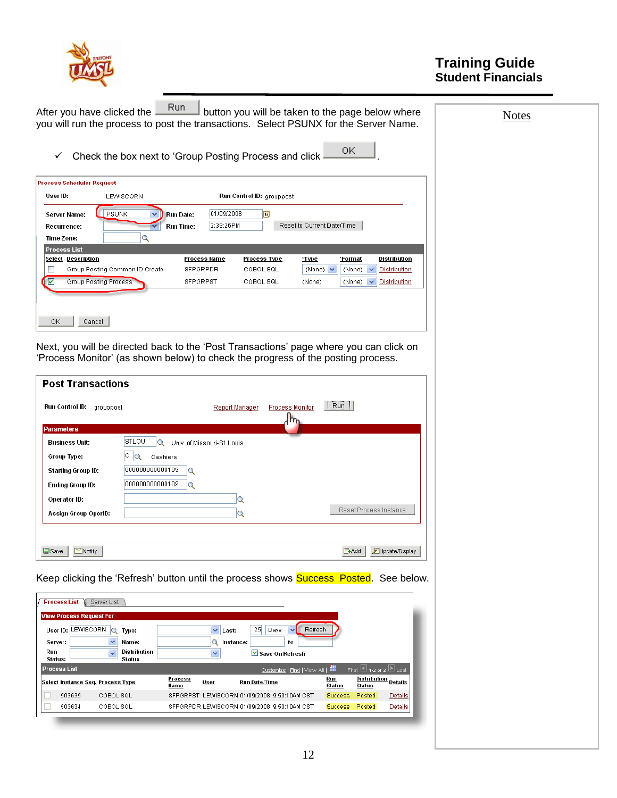

**Notes** 

| Run<br>After you have clicked the<br>button you will be taken to the page below where |  |
|---------------------------------------------------------------------------------------|--|
| you will run the process to post the transactions. Select PSUNX for the Server Name.  |  |

 $\checkmark$  Check the box next to 'Group Posting Process and click  $\frac{OK}{AV}$ 

| User ID:                                  | LEWISCORN                      |                               |                         | <b>Run Control ID: grouppost</b> |                            |               |              |
|-------------------------------------------|--------------------------------|-------------------------------|-------------------------|----------------------------------|----------------------------|---------------|--------------|
| Server Name:<br>Recurrence:<br>Time Zone: | PSUNX                          | Run Date:<br><b>Run Time:</b> | 01/09/2008<br>2:39:26PM | Fij                              | Reset to Current Date/Time |               |              |
| <b>Process List</b>                       |                                |                               |                         |                                  |                            |               |              |
| <b>Select Description</b>                 |                                | Process Name                  |                         | Process Type                     | 'Type                      | *Format       | Distribution |
|                                           | Group Posting Common ID Create | <b>SFPGRPDR</b>               |                         | COBOL SQL                        | (None) $\vee$              | (None) $\vee$ | Distribution |
| ⊽                                         | Group Posting Process          | <b>SFPGRPST</b>               |                         | COBOL SQL                        | (None)                     | (None)<br>v   | Distribution |
|                                           |                                |                               |                         |                                  |                            |               |              |
|                                           |                                |                               |                         |                                  |                            |               |              |
|                                           |                                |                               |                         |                                  |                            |               |              |

Next, you will be directed back to the "Post Transactions" page where you can click on "Process Monitor" (as shown below) to check the progress of the posting process.

| Run Control ID:<br>grouppost |                                                  | Report Manager | Process Monitor | Run                    |
|------------------------------|--------------------------------------------------|----------------|-----------------|------------------------|
| <b>Parameters</b>            |                                                  |                |                 |                        |
| Business Unit:               | <b>STLOU</b><br>Q<br>Univ. of Missouri-St. Louis |                |                 |                        |
| Group Type:                  | C.<br>lQ<br>Cashiers                             |                |                 |                        |
| Starting Group ID:           | 000000000000109<br>lQ                            |                |                 |                        |
| Ending Group ID:             | 000000000000109<br>Q                             |                |                 |                        |
| Operator ID:                 |                                                  | Q              |                 |                        |
| Assign Group OperID:         |                                                  | Q              |                 | Reset Process Instance |

Keep clicking the 'Refresh' button until the process shows **Success Posted**. See below.

| <b>Process List</b><br>Server List                                                                                                                                                                                                                                           |                                                       |                                                    |  |  |  |  |  |
|------------------------------------------------------------------------------------------------------------------------------------------------------------------------------------------------------------------------------------------------------------------------------|-------------------------------------------------------|----------------------------------------------------|--|--|--|--|--|
| <b>View Process Request For</b><br>25<br>Refresh<br>User ID: LEWISCORN<br>$\checkmark$<br>Days<br>$\circ$<br>Last:<br>Type:<br>Name:<br>Instance:<br>to<br>Server:<br>$\checkmark$<br>Q<br>Distribution<br>Run<br>$\overline{\mathbf{v}}$<br>$\checkmark$<br>Save On Refresh |                                                       |                                                    |  |  |  |  |  |
| <b>Status</b><br>Status:<br>First $\overline{11}_{12}$ of 2 $\overline{11}_{Last}$<br>Customize   Find   View All   <b>III</b><br><b>Process List</b>                                                                                                                        |                                                       |                                                    |  |  |  |  |  |
| Select Instance Seq. Process Type                                                                                                                                                                                                                                            | Process<br>Run Date/Time<br>User<br>Name              | Distribution<br>Run<br>Details<br>Status<br>Status |  |  |  |  |  |
| 503635<br>COBOL SQL                                                                                                                                                                                                                                                          | LEWISCORN 01/09/2008 9:50:10AM CST<br><b>SFPGRPST</b> | Posted<br><b>Success</b><br>Details                |  |  |  |  |  |
| 503634<br>COBOL SQL                                                                                                                                                                                                                                                          | SEPGRPDR LEWISCORN 01/09/2008 9:50:10AM CST           | Posted<br><b>Details</b><br><b>Success</b>         |  |  |  |  |  |